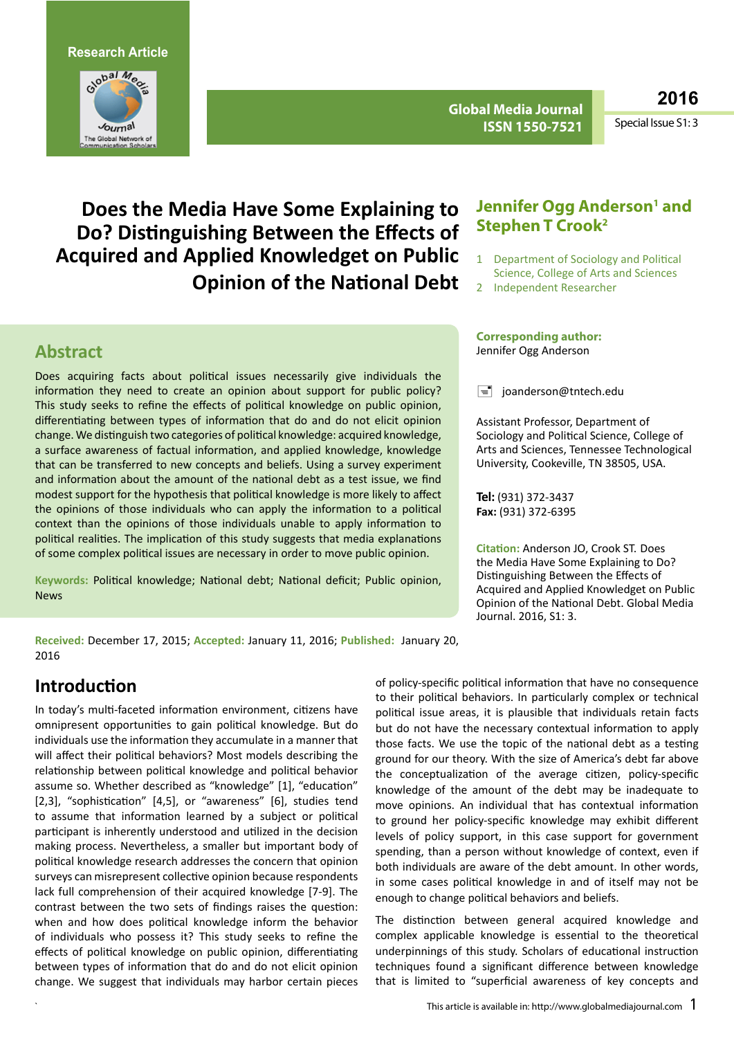**Research Article**



**Global Media Journal ISSN 1550-7521**

**2016**

Special Issue S1: 3

# **Does the Media Have Some Explaining to Do? Distinguishing Between the Effects of Acquired and Applied Knowledget on Public Opinion of the National Debt**

## **Abstract**

Does acquiring facts about political issues necessarily give individuals the information they need to create an opinion about support for public policy? This study seeks to refine the effects of political knowledge on public opinion, differentiating between types of information that do and do not elicit opinion change. We distinguish two categories of political knowledge: acquired knowledge, a surface awareness of factual information, and applied knowledge, knowledge that can be transferred to new concepts and beliefs. Using a survey experiment and information about the amount of the national debt as a test issue, we find modest support for the hypothesis that political knowledge is more likely to affect the opinions of those individuals who can apply the information to a political context than the opinions of those individuals unable to apply information to political realities. The implication of this study suggests that media explanations of some complex political issues are necessary in order to move public opinion.

**Keywords:** Political knowledge; National debt; National deficit; Public opinion, News

#### **Jennifer Ogg Anderson<sup>1</sup> and Stephen T Crook2**

- 1 Department of Sociology and Political Science, College of Arts and Sciences
- Independent Researcher

#### **Corresponding author:**  Jennifer Ogg Anderson

 $\equiv$  [joanderson@tntech.edu](mailto:joanderson@tntech.edu)

Assistant Professor, Department of Sociology and Political Science, College of Arts and Sciences, Tennessee Technological University, Cookeville, TN 38505, USA.

**Tel:** (931) 372-3437 **Fax:** (931) 372-6395

**Citation:** Anderson JO, Crook ST. Does the Media Have Some Explaining to Do? Distinguishing Between the Effects of Acquired and Applied Knowledget on Public Opinion of the National Debt. Global Media Journal. 2016, S1: 3.

**Received:** December 17, 2015; **Accepted:** January 11, 2016; **Published:** January 20, 2016

## **Introduction**

In today's multi-faceted information environment, citizens have omnipresent opportunities to gain political knowledge. But do individuals use the information they accumulate in a manner that will affect their political behaviors? Most models describing the relationship between political knowledge and political behavior assume so. Whether described as "knowledge" [1], "education" [2,3], "sophistication" [4,5], or "awareness" [6], studies tend to assume that information learned by a subject or political participant is inherently understood and utilized in the decision making process. Nevertheless, a smaller but important body of political knowledge research addresses the concern that opinion surveys can misrepresent collective opinion because respondents lack full comprehension of their acquired knowledge [7-9]. The contrast between the two sets of findings raises the question: when and how does political knowledge inform the behavior of individuals who possess it? This study seeks to refine the effects of political knowledge on public opinion, differentiating between types of information that do and do not elicit opinion change. We suggest that individuals may harbor certain pieces of policy-specific political information that have no consequence to their political behaviors. In particularly complex or technical political issue areas, it is plausible that individuals retain facts but do not have the necessary contextual information to apply those facts. We use the topic of the national debt as a testing ground for our theory. With the size of America's debt far above the conceptualization of the average citizen, policy-specific knowledge of the amount of the debt may be inadequate to move opinions. An individual that has contextual information to ground her policy-specific knowledge may exhibit different levels of policy support, in this case support for government spending, than a person without knowledge of context, even if both individuals are aware of the debt amount. In other words, in some cases political knowledge in and of itself may not be enough to change political behaviors and beliefs.

The distinction between general acquired knowledge and complex applicable knowledge is essential to the theoretical underpinnings of this study. Scholars of educational instruction techniques found a significant difference between knowledge that is limited to "superficial awareness of key concepts and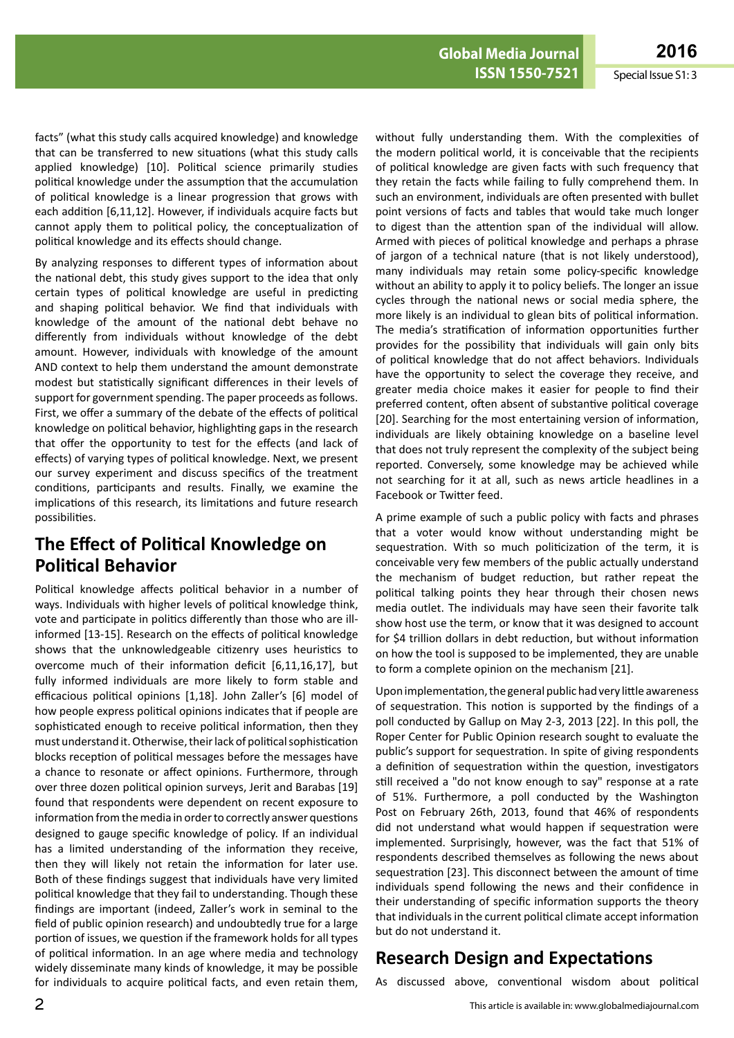facts" (what this study calls acquired knowledge) and knowledge that can be transferred to new situations (what this study calls applied knowledge) [10]. Political science primarily studies political knowledge under the assumption that the accumulation of political knowledge is a linear progression that grows with each addition [6,11,12]. However, if individuals acquire facts but cannot apply them to political policy, the conceptualization of political knowledge and its effects should change.

By analyzing responses to different types of information about the national debt, this study gives support to the idea that only certain types of political knowledge are useful in predicting and shaping political behavior. We find that individuals with knowledge of the amount of the national debt behave no differently from individuals without knowledge of the debt amount. However, individuals with knowledge of the amount AND context to help them understand the amount demonstrate modest but statistically significant differences in their levels of support for government spending. The paper proceeds as follows. First, we offer a summary of the debate of the effects of political knowledge on political behavior, highlighting gaps in the research that offer the opportunity to test for the effects (and lack of effects) of varying types of political knowledge. Next, we present our survey experiment and discuss specifics of the treatment conditions, participants and results. Finally, we examine the implications of this research, its limitations and future research possibilities.

# **The Effect of Political Knowledge on Political Behavior**

Political knowledge affects political behavior in a number of ways. Individuals with higher levels of political knowledge think, vote and participate in politics differently than those who are illinformed [13-15]. Research on the effects of political knowledge shows that the unknowledgeable citizenry uses heuristics to overcome much of their information deficit [6,11,16,17], but fully informed individuals are more likely to form stable and efficacious political opinions [1,18]. John Zaller's [6] model of how people express political opinions indicates that if people are sophisticated enough to receive political information, then they must understand it. Otherwise, their lack of political sophistication blocks reception of political messages before the messages have a chance to resonate or affect opinions. Furthermore, through over three dozen political opinion surveys, Jerit and Barabas [19] found that respondents were dependent on recent exposure to information from the media in order to correctly answer questions designed to gauge specific knowledge of policy. If an individual has a limited understanding of the information they receive, then they will likely not retain the information for later use. Both of these findings suggest that individuals have very limited political knowledge that they fail to understanding. Though these findings are important (indeed, Zaller's work in seminal to the field of public opinion research) and undoubtedly true for a large portion of issues, we question if the framework holds for all types of political information. In an age where media and technology widely disseminate many kinds of knowledge, it may be possible for individuals to acquire political facts, and even retain them,

without fully understanding them. With the complexities of the modern political world, it is conceivable that the recipients of political knowledge are given facts with such frequency that they retain the facts while failing to fully comprehend them. In such an environment, individuals are often presented with bullet point versions of facts and tables that would take much longer to digest than the attention span of the individual will allow. Armed with pieces of political knowledge and perhaps a phrase of jargon of a technical nature (that is not likely understood), many individuals may retain some policy-specific knowledge without an ability to apply it to policy beliefs. The longer an issue cycles through the national news or social media sphere, the more likely is an individual to glean bits of political information. The media's stratification of information opportunities further provides for the possibility that individuals will gain only bits of political knowledge that do not affect behaviors. Individuals have the opportunity to select the coverage they receive, and greater media choice makes it easier for people to find their preferred content, often absent of substantive political coverage [20]. Searching for the most entertaining version of information, individuals are likely obtaining knowledge on a baseline level that does not truly represent the complexity of the subject being reported. Conversely, some knowledge may be achieved while not searching for it at all, such as news article headlines in a Facebook or Twitter feed.

A prime example of such a public policy with facts and phrases that a voter would know without understanding might be sequestration. With so much politicization of the term, it is conceivable very few members of the public actually understand the mechanism of budget reduction, but rather repeat the political talking points they hear through their chosen news media outlet. The individuals may have seen their favorite talk show host use the term, or know that it was designed to account for \$4 trillion dollars in debt reduction, but without information on how the tool is supposed to be implemented, they are unable to form a complete opinion on the mechanism [21].

Upon implementation, the general public had very little awareness of sequestration. This notion is supported by the findings of a poll conducted by Gallup on May 2-3, 2013 [22]. In this poll, the Roper Center for Public Opinion research sought to evaluate the public's support for sequestration. In spite of giving respondents a definition of sequestration within the question, investigators still received a "do not know enough to say" response at a rate of 51%. Furthermore, a poll conducted by the Washington Post on February 26th, 2013, found that 46% of respondents did not understand what would happen if sequestration were implemented. Surprisingly, however, was the fact that 51% of respondents described themselves as following the news about sequestration [23]. This disconnect between the amount of time individuals spend following the news and their confidence in their understanding of specific information supports the theory that individuals in the current political climate accept information but do not understand it.

# **Research Design and Expectations**

As discussed above, conventional wisdom about political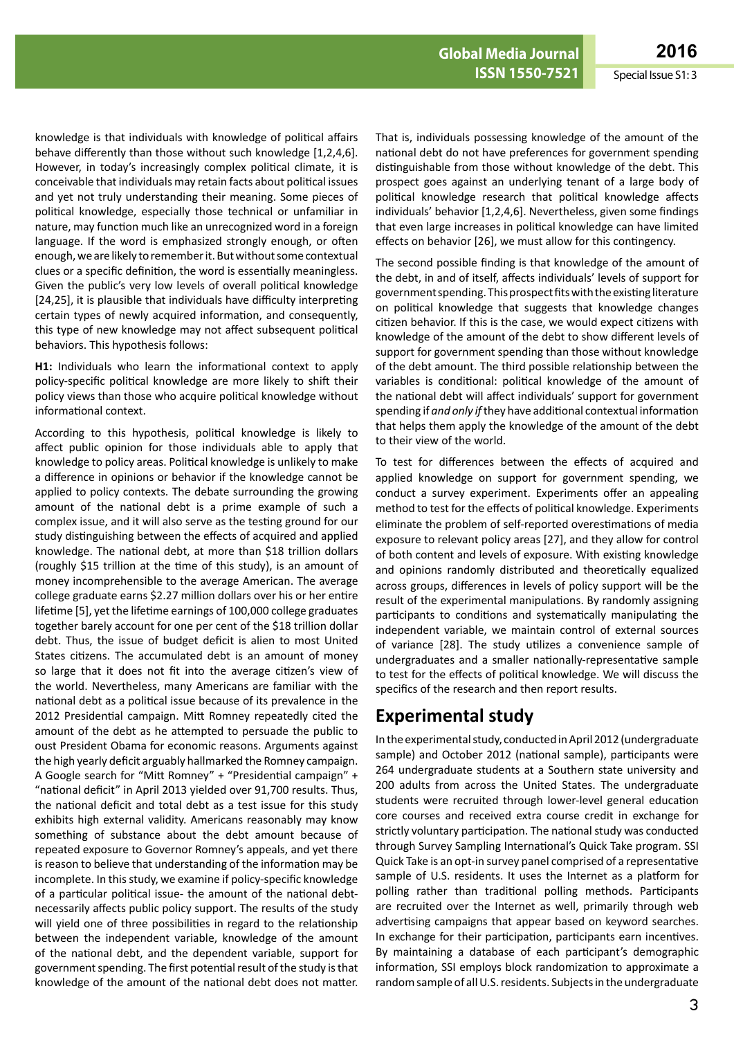knowledge is that individuals with knowledge of political affairs behave differently than those without such knowledge [1,2,4,6]. However, in today's increasingly complex political climate, it is conceivable that individuals may retain facts about political issues and yet not truly understanding their meaning. Some pieces of political knowledge, especially those technical or unfamiliar in nature, may function much like an unrecognized word in a foreign language. If the word is emphasized strongly enough, or often enough, we are likely to remember it. But without some contextual clues or a specific definition, the word is essentially meaningless. Given the public's very low levels of overall political knowledge [24,25], it is plausible that individuals have difficulty interpreting certain types of newly acquired information, and consequently, this type of new knowledge may not affect subsequent political behaviors. This hypothesis follows:

**H1:** Individuals who learn the informational context to apply policy-specific political knowledge are more likely to shift their policy views than those who acquire political knowledge without informational context.

According to this hypothesis, political knowledge is likely to affect public opinion for those individuals able to apply that knowledge to policy areas. Political knowledge is unlikely to make a difference in opinions or behavior if the knowledge cannot be applied to policy contexts. The debate surrounding the growing amount of the national debt is a prime example of such a complex issue, and it will also serve as the testing ground for our study distinguishing between the effects of acquired and applied knowledge. The national debt, at more than \$18 trillion dollars (roughly \$15 trillion at the time of this study), is an amount of money incomprehensible to the average American. The average college graduate earns \$2.27 million dollars over his or her entire lifetime [5], yet the lifetime earnings of 100,000 college graduates together barely account for one per cent of the \$18 trillion dollar debt. Thus, the issue of budget deficit is alien to most United States citizens. The accumulated debt is an amount of money so large that it does not fit into the average citizen's view of the world. Nevertheless, many Americans are familiar with the national debt as a political issue because of its prevalence in the 2012 Presidential campaign. Mitt Romney repeatedly cited the amount of the debt as he attempted to persuade the public to oust President Obama for economic reasons. Arguments against the high yearly deficit arguably hallmarked the Romney campaign. A Google search for "Mitt Romney" + "Presidential campaign" + "national deficit" in April 2013 yielded over 91,700 results. Thus, the national deficit and total debt as a test issue for this study exhibits high external validity. Americans reasonably may know something of substance about the debt amount because of repeated exposure to Governor Romney's appeals, and yet there is reason to believe that understanding of the information may be incomplete. In this study, we examine if policy-specific knowledge of a particular political issue- the amount of the national debtnecessarily affects public policy support. The results of the study will yield one of three possibilities in regard to the relationship between the independent variable, knowledge of the amount of the national debt, and the dependent variable, support for government spending. The first potential result of the study is that knowledge of the amount of the national debt does not matter.

That is, individuals possessing knowledge of the amount of the national debt do not have preferences for government spending distinguishable from those without knowledge of the debt. This prospect goes against an underlying tenant of a large body of political knowledge research that political knowledge affects individuals' behavior [1,2,4,6]. Nevertheless, given some findings that even large increases in political knowledge can have limited effects on behavior [26], we must allow for this contingency.

The second possible finding is that knowledge of the amount of the debt, in and of itself, affects individuals' levels of support for governmentspending.Thisprospectfitswiththeexistingliterature on political knowledge that suggests that knowledge changes citizen behavior. If this is the case, we would expect citizens with knowledge of the amount of the debt to show different levels of support for government spending than those without knowledge of the debt amount. The third possible relationship between the variables is conditional: political knowledge of the amount of the national debt will affect individuals' support for government spending if *and only if*they have additional contextual information that helps them apply the knowledge of the amount of the debt to their view of the world.

To test for differences between the effects of acquired and applied knowledge on support for government spending, we conduct a survey experiment. Experiments offer an appealing method to test for the effects of political knowledge. Experiments eliminate the problem of self-reported overestimations of media exposure to relevant policy areas [27], and they allow for control of both content and levels of exposure. With existing knowledge and opinions randomly distributed and theoretically equalized across groups, differences in levels of policy support will be the result of the experimental manipulations. By randomly assigning participants to conditions and systematically manipulating the independent variable, we maintain control of external sources of variance [28]. The study utilizes a convenience sample of undergraduates and a smaller nationally-representative sample to test for the effects of political knowledge. We will discuss the specifics of the research and then report results.

# **Experimental study**

In the experimental study, conducted in April 2012 (undergraduate sample) and October 2012 (national sample), participants were 264 undergraduate students at a Southern state university and 200 adults from across the United States. The undergraduate students were recruited through lower-level general education core courses and received extra course credit in exchange for strictly voluntary participation. The national study was conducted through Survey Sampling International's Quick Take program. SSI Quick Take is an opt-in survey panel comprised of a representative sample of U.S. residents. It uses the Internet as a platform for polling rather than traditional polling methods. Participants are recruited over the Internet as well, primarily through web advertising campaigns that appear based on keyword searches. In exchange for their participation, participants earn incentives. By maintaining a database of each participant's demographic information, SSI employs block randomization to approximate a random sample of all U.S. residents. Subjects in the undergraduate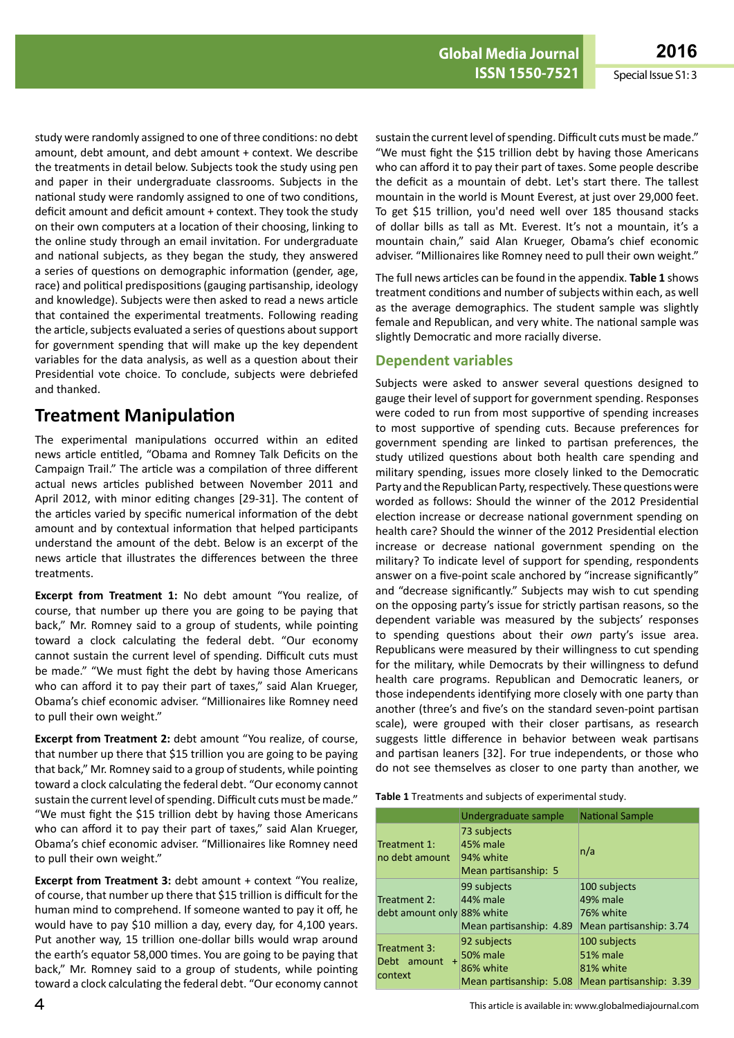study were randomly assigned to one of three conditions: no debt amount, debt amount, and debt amount + context. We describe the treatments in detail below. Subjects took the study using pen and paper in their undergraduate classrooms. Subjects in the national study were randomly assigned to one of two conditions, deficit amount and deficit amount + context. They took the study on their own computers at a location of their choosing, linking to the online study through an email invitation. For undergraduate and national subjects, as they began the study, they answered a series of questions on demographic information (gender, age, race) and political predispositions(gauging partisanship, ideology and knowledge). Subjects were then asked to read a news article that contained the experimental treatments. Following reading the article, subjects evaluated a series of questions about support for government spending that will make up the key dependent variables for the data analysis, as well as a question about their Presidential vote choice. To conclude, subjects were debriefed and thanked.

# **Treatment Manipulation**

The experimental manipulations occurred within an edited news article entitled, "Obama and Romney Talk Deficits on the Campaign Trail." The article was a compilation of three different actual news articles published between November 2011 and April 2012, with minor editing changes [29-31]. The content of the articles varied by specific numerical information of the debt amount and by contextual information that helped participants understand the amount of the debt. Below is an excerpt of the news article that illustrates the differences between the three treatments.

**Excerpt from Treatment 1:** No debt amount "You realize, of course, that number up there you are going to be paying that back," Mr. Romney said to a group of students, while pointing toward a clock calculating the federal debt. "Our economy cannot sustain the current level of spending. Difficult cuts must be made." "We must fight the debt by having those Americans who can afford it to pay their part of taxes," said Alan Krueger, Obama's chief economic adviser. "Millionaires like Romney need to pull their own weight."

**Excerpt from Treatment 2:** debt amount "You realize, of course, that number up there that \$15 trillion you are going to be paying that back," Mr. Romney said to a group of students, while pointing toward a clock calculating the federal debt. "Our economy cannot sustain the current level of spending. Difficult cuts must be made." "We must fight the \$15 trillion debt by having those Americans who can afford it to pay their part of taxes," said Alan Krueger, Obama's chief economic adviser. "Millionaires like Romney need to pull their own weight."

**Excerpt from Treatment 3:** debt amount + context "You realize, of course, that number up there that \$15 trillion is difficult for the human mind to comprehend. If someone wanted to pay it off, he would have to pay \$10 million a day, every day, for 4,100 years. Put another way, 15 trillion one-dollar bills would wrap around the earth's equator 58,000 times. You are going to be paying that back," Mr. Romney said to a group of students, while pointing toward a clock calculating the federal debt. "Our economy cannot

sustain the current level of spending. Difficult cuts must be made." "We must fight the \$15 trillion debt by having those Americans who can afford it to pay their part of taxes. Some people describe the deficit as a mountain of debt. Let's start there. The tallest mountain in the world is Mount Everest, at just over 29,000 feet. To get \$15 trillion, you'd need well over 185 thousand stacks of dollar bills as tall as Mt. Everest. It's not a mountain, it's a mountain chain," said Alan Krueger, Obama's chief economic adviser. "Millionaires like Romney need to pull their own weight."

The full news articles can be found in the appendix. **Table 1** shows treatment conditions and number of subjects within each, as well as the average demographics. The student sample was slightly female and Republican, and very white. The national sample was slightly Democratic and more racially diverse.

#### **Dependent variables**

Subjects were asked to answer several questions designed to gauge their level of support for government spending. Responses were coded to run from most supportive of spending increases to most supportive of spending cuts. Because preferences for government spending are linked to partisan preferences, the study utilized questions about both health care spending and military spending, issues more closely linked to the Democratic Party and the Republican Party, respectively. These questions were worded as follows: Should the winner of the 2012 Presidential election increase or decrease national government spending on health care? Should the winner of the 2012 Presidential election increase or decrease national government spending on the military? To indicate level of support for spending, respondents answer on a five-point scale anchored by "increase significantly" and "decrease significantly." Subjects may wish to cut spending on the opposing party's issue for strictly partisan reasons, so the dependent variable was measured by the subjects' responses to spending questions about their *own* party's issue area. Republicans were measured by their willingness to cut spending for the military, while Democrats by their willingness to defund health care programs. Republican and Democratic leaners, or those independents identifying more closely with one party than another (three's and five's on the standard seven-point partisan scale), were grouped with their closer partisans, as research suggests little difference in behavior between weak partisans and partisan leaners [32]. For true independents, or those who do not see themselves as closer to one party than another, we

**Table 1** Treatments and subjects of experimental study.

|                                                     | Undergraduate sample                                                   | <b>National Sample</b>                                                  |
|-----------------------------------------------------|------------------------------------------------------------------------|-------------------------------------------------------------------------|
| Treatment 1:<br>no debt amount                      | 73 subjects<br>45% male<br>94% white<br>Mean partisanship: 5           | n/a                                                                     |
| Treatment 2:<br>debt amount only 88% white          | 99 subjects<br>44% male<br>Mean partisanship: 4.89                     | 100 subjects<br>49% male<br>76% white<br>Mean partisanship: 3.74        |
| Treatment 3:<br>Debt amount<br>$\ddot{}$<br>context | 92 subjects<br><b>50% male</b><br>86% white<br>Mean partisanship: 5.08 | 100 subjects<br><b>51% male</b><br>81% white<br>Mean partisanship: 3.39 |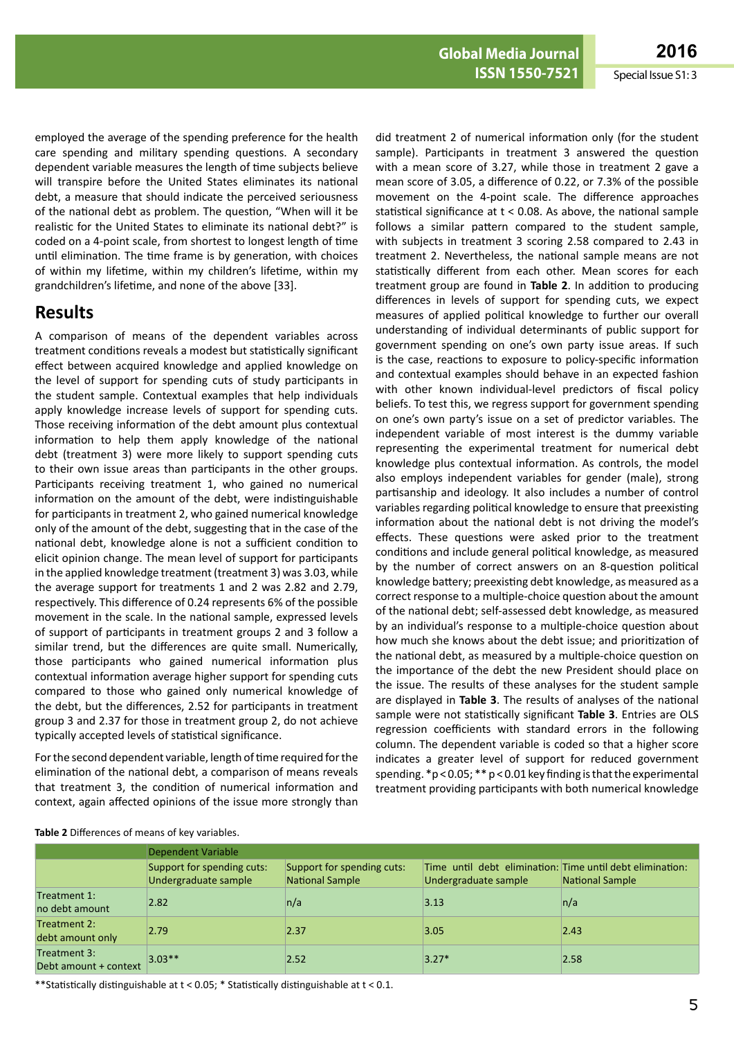**ISSN 1550-7521** Special Issue S1: 3

employed the average of the spending preference for the health care spending and military spending questions. A secondary dependent variable measures the length of time subjects believe will transpire before the United States eliminates its national debt, a measure that should indicate the perceived seriousness of the national debt as problem. The question, "When will it be realistic for the United States to eliminate its national debt?" is coded on a 4-point scale, from shortest to longest length of time until elimination. The time frame is by generation, with choices of within my lifetime, within my children's lifetime, within my grandchildren's lifetime, and none of the above [33].

#### **Results**

A comparison of means of the dependent variables across treatment conditions reveals a modest but statistically significant effect between acquired knowledge and applied knowledge on the level of support for spending cuts of study participants in the student sample. Contextual examples that help individuals apply knowledge increase levels of support for spending cuts. Those receiving information of the debt amount plus contextual information to help them apply knowledge of the national debt (treatment 3) were more likely to support spending cuts to their own issue areas than participants in the other groups. Participants receiving treatment 1, who gained no numerical information on the amount of the debt, were indistinguishable for participants in treatment 2, who gained numerical knowledge only of the amount of the debt, suggesting that in the case of the national debt, knowledge alone is not a sufficient condition to elicit opinion change. The mean level of support for participants in the applied knowledge treatment (treatment 3) was 3.03, while the average support for treatments 1 and 2 was 2.82 and 2.79, respectively. This difference of 0.24 represents 6% of the possible movement in the scale. In the national sample, expressed levels of support of participants in treatment groups 2 and 3 follow a similar trend, but the differences are quite small. Numerically, those participants who gained numerical information plus contextual information average higher support for spending cuts compared to those who gained only numerical knowledge of the debt, but the differences, 2.52 for participants in treatment group 3 and 2.37 for those in treatment group 2, do not achieve typically accepted levels of statistical significance.

Forthe second dependent variable, length of time required forthe elimination of the national debt, a comparison of means reveals that treatment 3, the condition of numerical information and context, again affected opinions of the issue more strongly than

did treatment 2 of numerical information only (for the student sample). Participants in treatment 3 answered the question with a mean score of 3.27, while those in treatment 2 gave a mean score of 3.05, a difference of 0.22, or 7.3% of the possible movement on the 4-point scale. The difference approaches statistical significance at t < 0.08. As above, the national sample follows a similar pattern compared to the student sample, with subjects in treatment 3 scoring 2.58 compared to 2.43 in treatment 2. Nevertheless, the national sample means are not statistically different from each other. Mean scores for each treatment group are found in **Table 2**. In addition to producing differences in levels of support for spending cuts, we expect measures of applied political knowledge to further our overall understanding of individual determinants of public support for government spending on one's own party issue areas. If such is the case, reactions to exposure to policy-specific information and contextual examples should behave in an expected fashion with other known individual-level predictors of fiscal policy beliefs. To test this, we regress support for government spending on one's own party's issue on a set of predictor variables. The independent variable of most interest is the dummy variable representing the experimental treatment for numerical debt knowledge plus contextual information. As controls, the model also employs independent variables for gender (male), strong partisanship and ideology. It also includes a number of control variables regarding political knowledge to ensure that preexisting information about the national debt is not driving the model's effects. These questions were asked prior to the treatment conditions and include general political knowledge, as measured by the number of correct answers on an 8-question political knowledge battery; preexisting debt knowledge, as measured as a correct response to a multiple-choice question about the amount of the national debt; self-assessed debt knowledge, as measured by an individual's response to a multiple-choice question about how much she knows about the debt issue; and prioritization of the national debt, as measured by a multiple-choice question on the importance of the debt the new President should place on the issue. The results of these analyses for the student sample are displayed in **Table 3**. The results of analyses of the national sample were not statistically significant **Table 3**. Entries are OLS regression coefficients with standard errors in the following column. The dependent variable is coded so that a higher score indicates a greater level of support for reduced government spending.  $*p < 0.05; **p < 0.01$  key finding is that the experimental treatment providing participants with both numerical knowledge

|                                       | <b>Dependent Variable</b>                          |                                               |                                                                                   |                        |  |
|---------------------------------------|----------------------------------------------------|-----------------------------------------------|-----------------------------------------------------------------------------------|------------------------|--|
|                                       | Support for spending cuts:<br>Undergraduate sample | Support for spending cuts:<br>National Sample | Time until debt elimination: Time until debt elimination:<br>Undergraduate sample | <b>National Sample</b> |  |
| Treatment 1:<br>no debt amount        | 2.82                                               | n/a                                           | 3.13                                                                              | n/a                    |  |
| Treatment 2:<br>debt amount only      | 2.79                                               | 2.37                                          | 3.05                                                                              | 2.43                   |  |
| Treatment 3:<br>Debt amount + context | $3.03**$                                           | 2.52                                          | $3.27*$                                                                           | 2.58                   |  |

**Table 2** Differences of means of key variables.

\*\*Statistically distinguishable at t < 0.05; \* Statistically distinguishable at t < 0.1.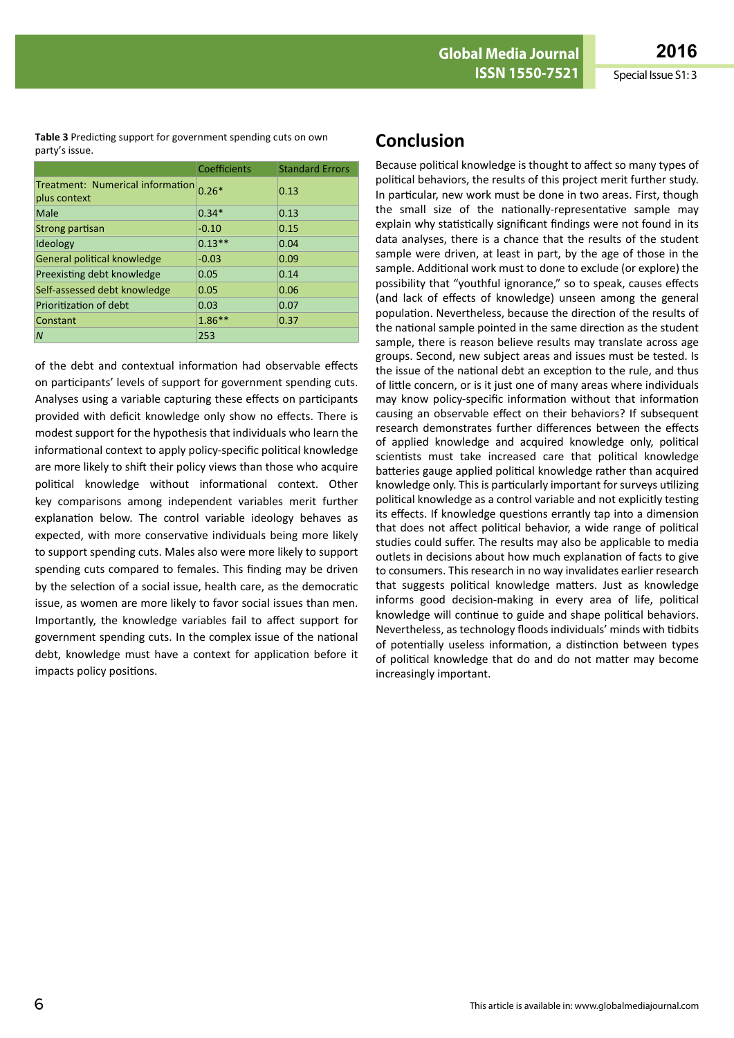**Table 3** Predicting support for government spending cuts on own party's issue.

|                                                  | Coefficients | <b>Standard Errors</b> |  |
|--------------------------------------------------|--------------|------------------------|--|
| Treatment: Numerical information<br>plus context | $0.26*$      | 0.13                   |  |
| Male                                             | $0.34*$      | 0.13                   |  |
| Strong partisan                                  | $-0.10$      | 0.15                   |  |
| Ideology                                         | $0.13**$     | 0.04                   |  |
| General political knowledge                      | $-0.03$      | 0.09                   |  |
| Preexisting debt knowledge                       | 0.05         | 0.14                   |  |
| Self-assessed debt knowledge                     | 0.05         | 0.06                   |  |
| Prioritization of debt                           | 0.03         | 0.07                   |  |
| Constant                                         | $1.86***$    | 0.37                   |  |
| N                                                | 253          |                        |  |

of the debt and contextual information had observable effects on participants' levels of support for government spending cuts. Analyses using a variable capturing these effects on participants provided with deficit knowledge only show no effects. There is modest support for the hypothesis that individuals who learn the informational context to apply policy-specific political knowledge are more likely to shift their policy views than those who acquire political knowledge without informational context. Other key comparisons among independent variables merit further explanation below. The control variable ideology behaves as expected, with more conservative individuals being more likely to support spending cuts. Males also were more likely to support spending cuts compared to females. This finding may be driven by the selection of a social issue, health care, as the democratic issue, as women are more likely to favor social issues than men. Importantly, the knowledge variables fail to affect support for government spending cuts. In the complex issue of the national debt, knowledge must have a context for application before it impacts policy positions.

## **Conclusion**

Because political knowledge is thought to affect so many types of political behaviors, the results of this project merit further study. In particular, new work must be done in two areas. First, though the small size of the nationally-representative sample may explain why statistically significant findings were not found in its data analyses, there is a chance that the results of the student sample were driven, at least in part, by the age of those in the sample. Additional work must to done to exclude (or explore) the possibility that "youthful ignorance," so to speak, causes effects (and lack of effects of knowledge) unseen among the general population. Nevertheless, because the direction of the results of the national sample pointed in the same direction as the student sample, there is reason believe results may translate across age groups. Second, new subject areas and issues must be tested. Is the issue of the national debt an exception to the rule, and thus of little concern, or is it just one of many areas where individuals may know policy-specific information without that information causing an observable effect on their behaviors? If subsequent research demonstrates further differences between the effects of applied knowledge and acquired knowledge only, political scientists must take increased care that political knowledge batteries gauge applied political knowledge rather than acquired knowledge only. This is particularly important for surveys utilizing political knowledge as a control variable and not explicitly testing its effects. If knowledge questions errantly tap into a dimension that does not affect political behavior, a wide range of political studies could suffer. The results may also be applicable to media outlets in decisions about how much explanation of facts to give to consumers. Thisresearch in no way invalidates earlier research that suggests political knowledge matters. Just as knowledge informs good decision-making in every area of life, political knowledge will continue to guide and shape political behaviors. Nevertheless, as technology floods individuals' minds with tidbits of potentially useless information, a distinction between types of political knowledge that do and do not matter may become increasingly important.